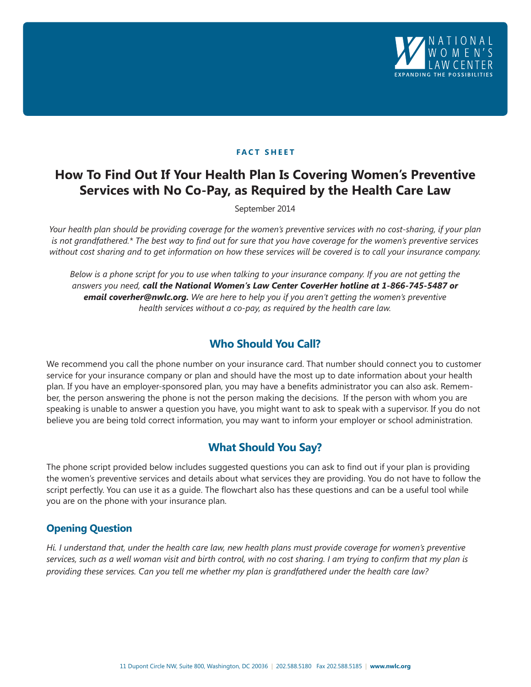

### **FACT SHEET**

# **How To Find Out If Your Health Plan Is Covering Women's Preventive Services with No Co-Pay, as Required by the Health Care Law**

September 2014

*Your health plan should be providing coverage for the women's preventive services with no cost-sharing, if your plan is not grandfathered.\* The best way to find out for sure that you have coverage for the women's preventive services without cost sharing and to get information on how these services will be covered is to call your insurance company.*

*Below is a phone script for you to use when talking to your insurance company. If you are not getting the answers you need, call the National Women's Law Center CoverHer hotline at 1-866-745-5487 or email coverher@nwlc.org. We are here to help you if you aren't getting the women's preventive health services without a co-pay, as required by the health care law.*

# **Who Should You Call?**

We recommend you call the phone number on your insurance card. That number should connect you to customer service for your insurance company or plan and should have the most up to date information about your health plan. If you have an employer-sponsored plan, you may have a benefits administrator you can also ask. Remember, the person answering the phone is not the person making the decisions. If the person with whom you are speaking is unable to answer a question you have, you might want to ask to speak with a supervisor. If you do not believe you are being told correct information, you may want to inform your employer or school administration.

## **What Should You Say?**

The phone script provided below includes suggested questions you can ask to find out if your plan is providing the women's preventive services and details about what services they are providing. You do not have to follow the script perfectly. You can use it as a guide. The flowchart also has these questions and can be a useful tool while you are on the phone with your insurance plan.

## **Opening Question**

*Hi. I understand that, under the health care law, new health plans must provide coverage for women's preventive services, such as a well woman visit and birth control, with no cost sharing. I am trying to confirm that my plan is providing these services. Can you tell me whether my plan is grandfathered under the health care law?*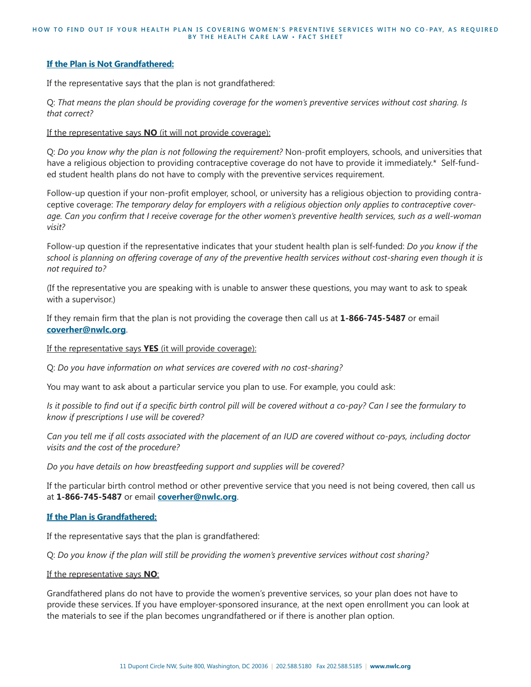#### **If the Plan is Not Grandfathered:**

If the representative says that the plan is not grandfathered:

Q: *That means the plan should be providing coverage for the women's preventive services without cost sharing. Is that correct?*

If the representative says **NO** (it will not provide coverage):

Q: *Do you know why the plan is not following the requirement?* Non-profit employers, schools, and universities that have a religious objection to providing contraceptive coverage do not have to provide it immediately.\* Self-funded student health plans do not have to comply with the preventive services requirement.

Follow-up question if your non-profit employer, school, or university has a religious objection to providing contraceptive coverage: *The temporary delay for employers with a religious objection only applies to contraceptive coverage. Can you confirm that I receive coverage for the other women's preventive health services, such as a well-woman visit?*

Follow-up question if the representative indicates that your student health plan is self-funded: *Do you know if the school is planning on offering coverage of any of the preventive health services without cost-sharing even though it is not required to?*

(If the representative you are speaking with is unable to answer these questions, you may want to ask to speak with a supervisor.)

If they remain firm that the plan is not providing the coverage then call us at **1-866-745-5487** or email **coverher@nwlc.org**.

If the representative says **YES** (it will provide coverage):

Q: *Do you have information on what services are covered with no cost-sharing?* 

You may want to ask about a particular service you plan to use. For example, you could ask:

*Is it possible to find out if a specific birth control pill will be covered without a co-pay? Can I see the formulary to know if prescriptions I use will be covered?*

*Can you tell me if all costs associated with the placement of an IUD are covered without co-pays, including doctor visits and the cost of the procedure?*

*Do you have details on how breastfeeding support and supplies will be covered?*

If the particular birth control method or other preventive service that you need is not being covered, then call us at **1-866-745-5487** or email **coverher@nwlc.org**.

### **If the Plan is Grandfathered:**

If the representative says that the plan is grandfathered:

Q: *Do you know if the plan will still be providing the women's preventive services without cost sharing?*

#### If the representative says **NO**:

Grandfathered plans do not have to provide the women's preventive services, so your plan does not have to provide these services. If you have employer-sponsored insurance, at the next open enrollment you can look at the materials to see if the plan becomes ungrandfathered or if there is another plan option.